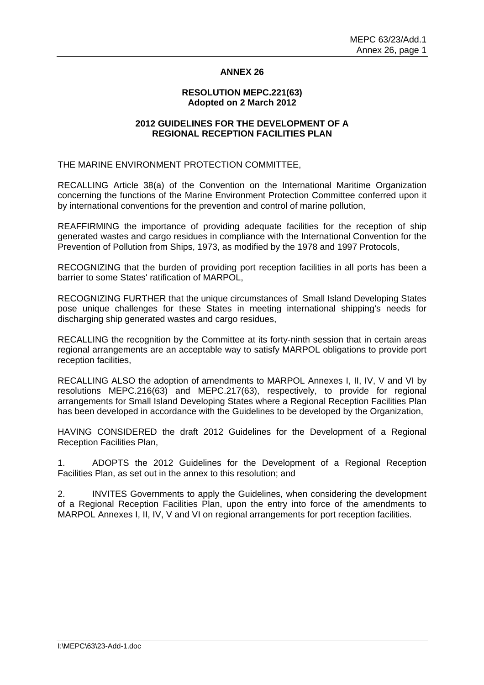### **ANNEX 26**

#### **RESOLUTION MEPC.221(63) Adopted on 2 March 2012**

### **2012 GUIDELINES FOR THE DEVELOPMENT OF A REGIONAL RECEPTION FACILITIES PLAN**

THE MARINE ENVIRONMENT PROTECTION COMMITTEE,

RECALLING Article 38(a) of the Convention on the International Maritime Organization concerning the functions of the Marine Environment Protection Committee conferred upon it by international conventions for the prevention and control of marine pollution,

REAFFIRMING the importance of providing adequate facilities for the reception of ship generated wastes and cargo residues in compliance with the International Convention for the Prevention of Pollution from Ships, 1973, as modified by the 1978 and 1997 Protocols,

RECOGNIZING that the burden of providing port reception facilities in all ports has been a barrier to some States' ratification of MARPOL,

RECOGNIZING FURTHER that the unique circumstances of Small Island Developing States pose unique challenges for these States in meeting international shipping's needs for discharging ship generated wastes and cargo residues,

RECALLING the recognition by the Committee at its forty-ninth session that in certain areas regional arrangements are an acceptable way to satisfy MARPOL obligations to provide port reception facilities,

RECALLING ALSO the adoption of amendments to MARPOL Annexes I, II, IV, V and VI by resolutions MEPC.216(63) and MEPC.217(63), respectively, to provide for regional arrangements for Small Island Developing States where a Regional Reception Facilities Plan has been developed in accordance with the Guidelines to be developed by the Organization,

HAVING CONSIDERED the draft 2012 Guidelines for the Development of a Regional Reception Facilities Plan,

1. ADOPTS the 2012 Guidelines for the Development of a Regional Reception Facilities Plan, as set out in the annex to this resolution; and

2. INVITES Governments to apply the Guidelines, when considering the development of a Regional Reception Facilities Plan, upon the entry into force of the amendments to MARPOL Annexes I, II, IV, V and VI on regional arrangements for port reception facilities.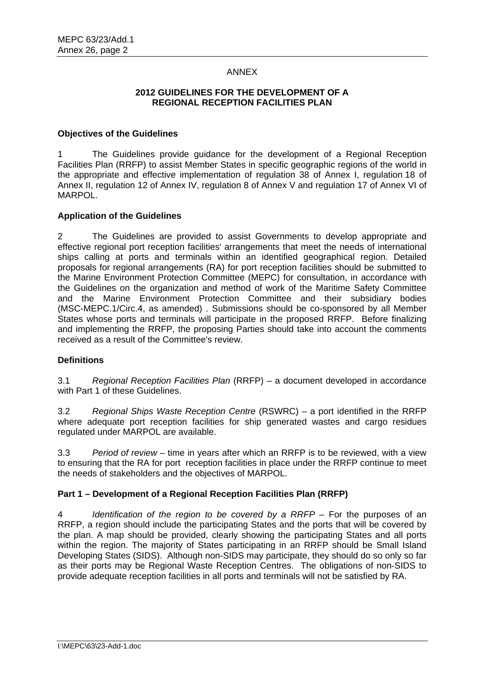### ANNEX

### **2012 GUIDELINES FOR THE DEVELOPMENT OF A REGIONAL RECEPTION FACILITIES PLAN**

#### **Objectives of the Guidelines**

1 The Guidelines provide guidance for the development of a Regional Reception Facilities Plan (RRFP) to assist Member States in specific geographic regions of the world in the appropriate and effective implementation of regulation 38 of Annex I, regulation 18 of Annex II, regulation 12 of Annex IV, regulation 8 of Annex V and regulation 17 of Annex VI of MARPOL.

# **Application of the Guidelines**

2 The Guidelines are provided to assist Governments to develop appropriate and effective regional port reception facilities' arrangements that meet the needs of international ships calling at ports and terminals within an identified geographical region. Detailed proposals for regional arrangements (RA) for port reception facilities should be submitted to the Marine Environment Protection Committee (MEPC) for consultation, in accordance with the Guidelines on the organization and method of work of the Maritime Safety Committee and the Marine Environment Protection Committee and their subsidiary bodies (MSC-MEPC.1/Circ.4, as amended) . Submissions should be co-sponsored by all Member States whose ports and terminals will participate in the proposed RRFP. Before finalizing and implementing the RRFP, the proposing Parties should take into account the comments received as a result of the Committee's review.

# **Definitions**

3.1 *Regional Reception Facilities Plan* (RRFP) – a document developed in accordance with Part 1 of these Guidelines.

3.2 *Regional Ships Waste Reception Centre* (RSWRC) – a port identified in the RRFP where adequate port reception facilities for ship generated wastes and cargo residues regulated under MARPOL are available.

3.3 *Period of review* – time in years after which an RRFP is to be reviewed, with a view to ensuring that the RA for port reception facilities in place under the RRFP continue to meet the needs of stakeholders and the objectives of MARPOL.

# **Part 1 – Development of a Regional Reception Facilities Plan (RRFP)**

4 *Identification of the region to be covered by a RRFP* – For the purposes of an RRFP, a region should include the participating States and the ports that will be covered by the plan. A map should be provided, clearly showing the participating States and all ports within the region. The majority of States participating in an RRFP should be Small Island Developing States (SIDS). Although non-SIDS may participate, they should do so only so far as their ports may be Regional Waste Reception Centres. The obligations of non-SIDS to provide adequate reception facilities in all ports and terminals will not be satisfied by RA.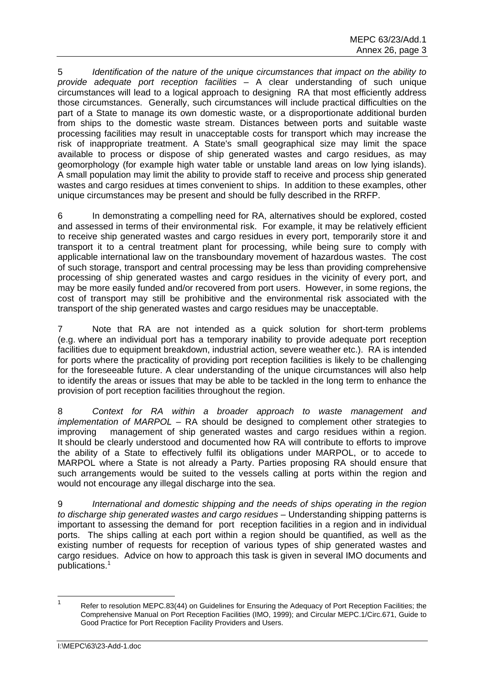5 *Identification of the nature of the unique circumstances that impact on the ability to provide adequate port reception facilities* – A clear understanding of such unique circumstances will lead to a logical approach to designing RA that most efficiently address those circumstances. Generally, such circumstances will include practical difficulties on the part of a State to manage its own domestic waste, or a disproportionate additional burden from ships to the domestic waste stream. Distances between ports and suitable waste processing facilities may result in unacceptable costs for transport which may increase the risk of inappropriate treatment. A State's small geographical size may limit the space available to process or dispose of ship generated wastes and cargo residues, as may geomorphology (for example high water table or unstable land areas on low lying islands). A small population may limit the ability to provide staff to receive and process ship generated wastes and cargo residues at times convenient to ships. In addition to these examples, other unique circumstances may be present and should be fully described in the RRFP.

6 In demonstrating a compelling need for RA, alternatives should be explored, costed and assessed in terms of their environmental risk. For example, it may be relatively efficient to receive ship generated wastes and cargo residues in every port, temporarily store it and transport it to a central treatment plant for processing, while being sure to comply with applicable international law on the transboundary movement of hazardous wastes. The cost of such storage, transport and central processing may be less than providing comprehensive processing of ship generated wastes and cargo residues in the vicinity of every port, and may be more easily funded and/or recovered from port users. However, in some regions, the cost of transport may still be prohibitive and the environmental risk associated with the transport of the ship generated wastes and cargo residues may be unacceptable.

7 Note that RA are not intended as a quick solution for short-term problems (e.g. where an individual port has a temporary inability to provide adequate port reception facilities due to equipment breakdown, industrial action, severe weather etc.). RA is intended for ports where the practicality of providing port reception facilities is likely to be challenging for the foreseeable future. A clear understanding of the unique circumstances will also help to identify the areas or issues that may be able to be tackled in the long term to enhance the provision of port reception facilities throughout the region.

8 *Context for RA within a broader approach to waste management and implementation of MARPOL* – RA should be designed to complement other strategies to improving management of ship generated wastes and cargo residues within a region. It should be clearly understood and documented how RA will contribute to efforts to improve the ability of a State to effectively fulfil its obligations under MARPOL, or to accede to MARPOL where a State is not already a Party. Parties proposing RA should ensure that such arrangements would be suited to the vessels calling at ports within the region and would not encourage any illegal discharge into the sea.

9 *International and domestic shipping and the needs of ships operating in the region to discharge ship generated wastes and cargo residues –* Understanding shipping patterns is important to assessing the demand for port reception facilities in a region and in individual ports. The ships calling at each port within a region should be quantified, as well as the existing number of requests for reception of various types of ship generated wastes and cargo residues. Advice on how to approach this task is given in several IMO documents and publications.<sup>1</sup>

 $\frac{1}{1}$  Refer to resolution MEPC.83(44) on Guidelines for Ensuring the Adequacy of Port Reception Facilities; the Comprehensive Manual on Port Reception Facilities (IMO, 1999); and Circular MEPC.1/Circ.671, Guide to Good Practice for Port Reception Facility Providers and Users.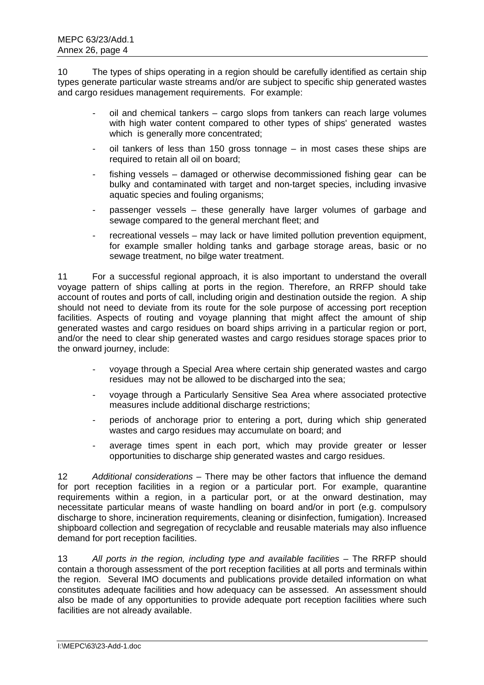10 The types of ships operating in a region should be carefully identified as certain ship types generate particular waste streams and/or are subject to specific ship generated wastes and cargo residues management requirements. For example:

- oil and chemical tankers cargo slops from tankers can reach large volumes with high water content compared to other types of ships' generated wastes which is generally more concentrated;
- oil tankers of less than 150 gross tonnage  $-$  in most cases these ships are required to retain all oil on board;
- fishing vessels damaged or otherwise decommissioned fishing gear can be bulky and contaminated with target and non-target species, including invasive aquatic species and fouling organisms;
- passenger vessels these generally have larger volumes of garbage and sewage compared to the general merchant fleet; and
- recreational vessels may lack or have limited pollution prevention equipment, for example smaller holding tanks and garbage storage areas, basic or no sewage treatment, no bilge water treatment.

11 For a successful regional approach, it is also important to understand the overall voyage pattern of ships calling at ports in the region. Therefore, an RRFP should take account of routes and ports of call, including origin and destination outside the region. A ship should not need to deviate from its route for the sole purpose of accessing port reception facilities. Aspects of routing and voyage planning that might affect the amount of ship generated wastes and cargo residues on board ships arriving in a particular region or port, and/or the need to clear ship generated wastes and cargo residues storage spaces prior to the onward journey, include:

- voyage through a Special Area where certain ship generated wastes and cargo residues may not be allowed to be discharged into the sea;
- voyage through a Particularly Sensitive Sea Area where associated protective measures include additional discharge restrictions;
- periods of anchorage prior to entering a port, during which ship generated wastes and cargo residues may accumulate on board; and
- average times spent in each port, which may provide greater or lesser opportunities to discharge ship generated wastes and cargo residues.

12 *Additional considerations –* There may be other factors that influence the demand for port reception facilities in a region or a particular port. For example, quarantine requirements within a region, in a particular port, or at the onward destination, may necessitate particular means of waste handling on board and/or in port (e.g. compulsory discharge to shore, incineration requirements, cleaning or disinfection, fumigation). Increased shipboard collection and segregation of recyclable and reusable materials may also influence demand for port reception facilities.

13 All ports in the region, including type and available facilities – The RRFP should contain a thorough assessment of the port reception facilities at all ports and terminals within the region. Several IMO documents and publications provide detailed information on what constitutes adequate facilities and how adequacy can be assessed. An assessment should also be made of any opportunities to provide adequate port reception facilities where such facilities are not already available.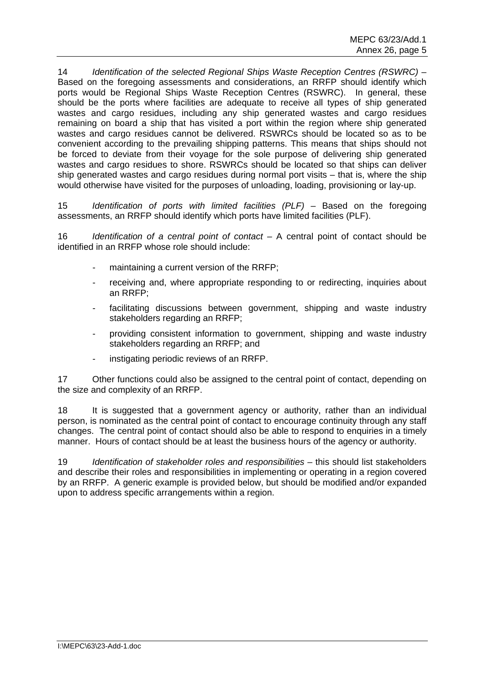14 *Identification of the selected Regional Ships Waste Reception Centres (RSWRC) –*  Based on the foregoing assessments and considerations, an RRFP should identify which ports would be Regional Ships Waste Reception Centres (RSWRC). In general, these should be the ports where facilities are adequate to receive all types of ship generated wastes and cargo residues, including any ship generated wastes and cargo residues remaining on board a ship that has visited a port within the region where ship generated wastes and cargo residues cannot be delivered. RSWRCs should be located so as to be convenient according to the prevailing shipping patterns. This means that ships should not be forced to deviate from their voyage for the sole purpose of delivering ship generated wastes and cargo residues to shore. RSWRCs should be located so that ships can deliver ship generated wastes and cargo residues during normal port visits – that is, where the ship would otherwise have visited for the purposes of unloading, loading, provisioning or lay-up.

15 *Identification of ports with limited facilities (PLF) –* Based on the foregoing assessments, an RRFP should identify which ports have limited facilities (PLF).

16 *Identification of a central point of contact –* A central point of contact should be identified in an RRFP whose role should include:

- maintaining a current version of the RRFP:
- receiving and, where appropriate responding to or redirecting, inquiries about an RRFP;
- facilitating discussions between government, shipping and waste industry stakeholders regarding an RRFP;
- providing consistent information to government, shipping and waste industry stakeholders regarding an RRFP; and
- instigating periodic reviews of an RRFP.

17 Other functions could also be assigned to the central point of contact, depending on the size and complexity of an RRFP.

18 It is suggested that a government agency or authority, rather than an individual person, is nominated as the central point of contact to encourage continuity through any staff changes. The central point of contact should also be able to respond to enquiries in a timely manner. Hours of contact should be at least the business hours of the agency or authority.

19 *Identification of stakeholder roles and responsibilities* – this should list stakeholders and describe their roles and responsibilities in implementing or operating in a region covered by an RRFP. A generic example is provided below, but should be modified and/or expanded upon to address specific arrangements within a region.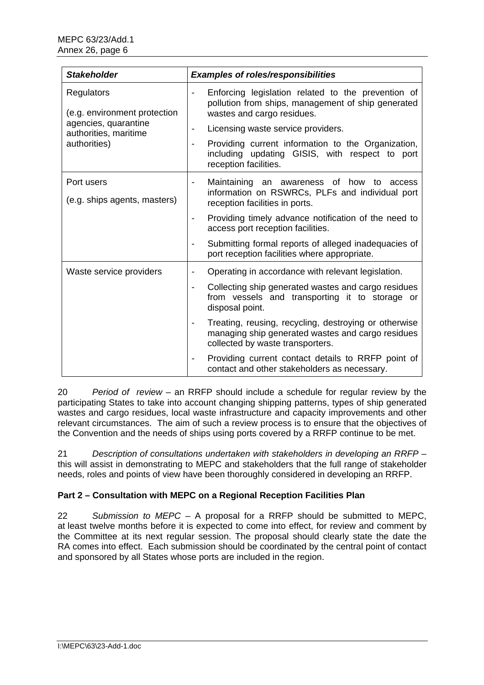| <b>Stakeholder</b>                                                                                          | <b>Examples of roles/responsibilities</b>                                                                                                                                  |
|-------------------------------------------------------------------------------------------------------------|----------------------------------------------------------------------------------------------------------------------------------------------------------------------------|
| Regulators<br>(e.g. environment protection<br>agencies, quarantine<br>authorities, maritime<br>authorities) | Enforcing legislation related to the prevention of<br>pollution from ships, management of ship generated<br>wastes and cargo residues.                                     |
|                                                                                                             | Licensing waste service providers.<br>$\overline{\phantom{a}}$                                                                                                             |
|                                                                                                             | Providing current information to the Organization,<br>including updating GISIS, with respect to port<br>reception facilities.                                              |
| Port users                                                                                                  | Maintaining an awareness of how<br>to<br>access<br>$\qquad \qquad \blacksquare$                                                                                            |
| (e.g. ships agents, masters)                                                                                | information on RSWRCs, PLFs and individual port<br>reception facilities in ports.                                                                                          |
|                                                                                                             | Providing timely advance notification of the need to<br>access port reception facilities.                                                                                  |
|                                                                                                             | Submitting formal reports of alleged inadequacies of<br>port reception facilities where appropriate.                                                                       |
| Waste service providers                                                                                     | Operating in accordance with relevant legislation.<br>$\overline{\phantom{a}}$                                                                                             |
|                                                                                                             | Collecting ship generated wastes and cargo residues<br>$\overline{\phantom{a}}$<br>from vessels and transporting it to storage or<br>disposal point.                       |
|                                                                                                             | Treating, reusing, recycling, destroying or otherwise<br>$\overline{\phantom{a}}$<br>managing ship generated wastes and cargo residues<br>collected by waste transporters. |
|                                                                                                             | Providing current contact details to RRFP point of<br>contact and other stakeholders as necessary.                                                                         |

20 *Period of review* – an RRFP should include a schedule for regular review by the participating States to take into account changing shipping patterns, types of ship generated wastes and cargo residues, local waste infrastructure and capacity improvements and other relevant circumstances. The aim of such a review process is to ensure that the objectives of the Convention and the needs of ships using ports covered by a RRFP continue to be met.

21 *Description of consultations undertaken with stakeholders in developing an RRFP* – this will assist in demonstrating to MEPC and stakeholders that the full range of stakeholder needs, roles and points of view have been thoroughly considered in developing an RRFP.

# **Part 2 – Consultation with MEPC on a Regional Reception Facilities Plan**

22 *Submission to MEPC* – A proposal for a RRFP should be submitted to MEPC, at least twelve months before it is expected to come into effect, for review and comment by the Committee at its next regular session. The proposal should clearly state the date the RA comes into effect. Each submission should be coordinated by the central point of contact and sponsored by all States whose ports are included in the region.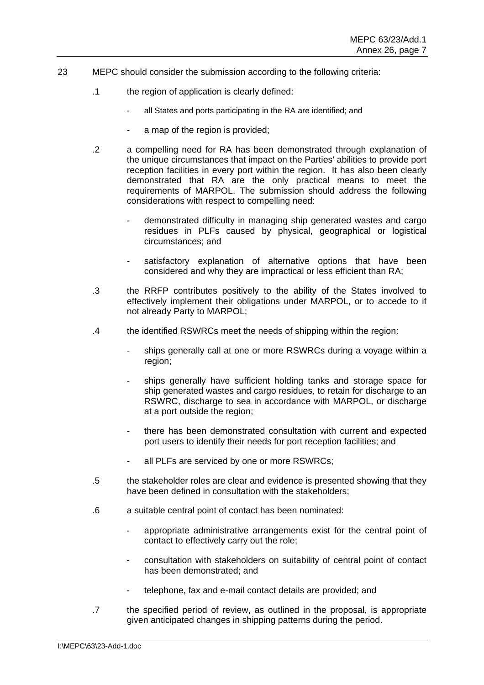- 23 MEPC should consider the submission according to the following criteria:
	- .1 the region of application is clearly defined:
		- all States and ports participating in the RA are identified; and
		- a map of the region is provided;
	- .2 a compelling need for RA has been demonstrated through explanation of the unique circumstances that impact on the Parties' abilities to provide port reception facilities in every port within the region. It has also been clearly demonstrated that RA are the only practical means to meet the requirements of MARPOL. The submission should address the following considerations with respect to compelling need:
		- demonstrated difficulty in managing ship generated wastes and cargo residues in PLFs caused by physical, geographical or logistical circumstances; and
		- satisfactory explanation of alternative options that have been considered and why they are impractical or less efficient than RA;
	- .3 the RRFP contributes positively to the ability of the States involved to effectively implement their obligations under MARPOL, or to accede to if not already Party to MARPOL;
	- .4 the identified RSWRCs meet the needs of shipping within the region:
		- ships generally call at one or more RSWRCs during a voyage within a region;
		- ships generally have sufficient holding tanks and storage space for ship generated wastes and cargo residues, to retain for discharge to an RSWRC, discharge to sea in accordance with MARPOL, or discharge at a port outside the region;
		- there has been demonstrated consultation with current and expected port users to identify their needs for port reception facilities; and
		- all PLFs are serviced by one or more RSWRCs;
	- .5 the stakeholder roles are clear and evidence is presented showing that they have been defined in consultation with the stakeholders;
	- .6 a suitable central point of contact has been nominated:
		- appropriate administrative arrangements exist for the central point of contact to effectively carry out the role;
		- consultation with stakeholders on suitability of central point of contact has been demonstrated; and
		- telephone, fax and e-mail contact details are provided; and
	- .7 the specified period of review, as outlined in the proposal, is appropriate given anticipated changes in shipping patterns during the period.